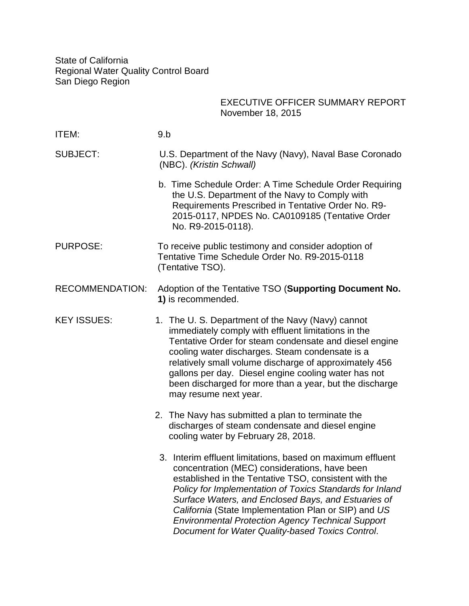State of California Regional Water Quality Control Board San Diego Region

|                        | <b>EXECUTIVE OFFICER SUMMARY REPORT</b><br>November 18, 2015                                                                                                                                                                                                                                                                                                                                                                                                    |
|------------------------|-----------------------------------------------------------------------------------------------------------------------------------------------------------------------------------------------------------------------------------------------------------------------------------------------------------------------------------------------------------------------------------------------------------------------------------------------------------------|
| ITEM:                  | 9.b                                                                                                                                                                                                                                                                                                                                                                                                                                                             |
| <b>SUBJECT:</b>        | U.S. Department of the Navy (Navy), Naval Base Coronado<br>(NBC). (Kristin Schwall)                                                                                                                                                                                                                                                                                                                                                                             |
|                        | b. Time Schedule Order: A Time Schedule Order Requiring<br>the U.S. Department of the Navy to Comply with<br>Requirements Prescribed in Tentative Order No. R9-<br>2015-0117, NPDES No. CA0109185 (Tentative Order<br>No. R9-2015-0118).                                                                                                                                                                                                                        |
| <b>PURPOSE:</b>        | To receive public testimony and consider adoption of<br>Tentative Time Schedule Order No. R9-2015-0118<br>(Tentative TSO).                                                                                                                                                                                                                                                                                                                                      |
| <b>RECOMMENDATION:</b> | Adoption of the Tentative TSO (Supporting Document No.<br>1) is recommended.                                                                                                                                                                                                                                                                                                                                                                                    |
| <b>KEY ISSUES:</b>     | 1. The U. S. Department of the Navy (Navy) cannot<br>immediately comply with effluent limitations in the<br>Tentative Order for steam condensate and diesel engine<br>cooling water discharges. Steam condensate is a<br>relatively small volume discharge of approximately 456<br>gallons per day. Diesel engine cooling water has not<br>been discharged for more than a year, but the discharge<br>may resume next year.                                     |
|                        | 2. The Navy has submitted a plan to terminate the<br>discharges of steam condensate and diesel engine<br>cooling water by February 28, 2018.                                                                                                                                                                                                                                                                                                                    |
|                        | 3. Interim effluent limitations, based on maximum effluent<br>concentration (MEC) considerations, have been<br>established in the Tentative TSO, consistent with the<br>Policy for Implementation of Toxics Standards for Inland<br>Surface Waters, and Enclosed Bays, and Estuaries of<br>California (State Implementation Plan or SIP) and US<br><b>Environmental Protection Agency Technical Support</b><br>Document for Water Quality-based Toxics Control. |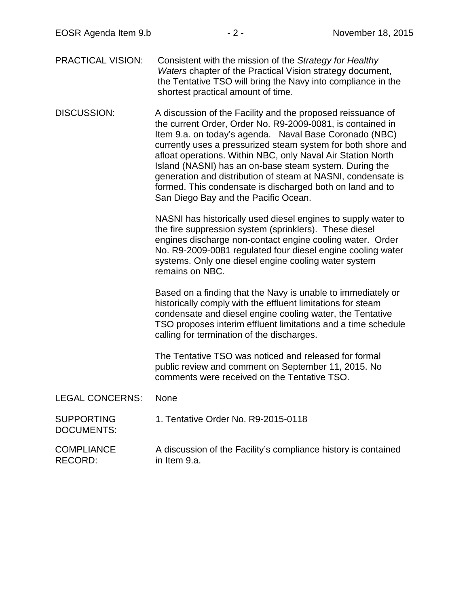PRACTICAL VISION: Consistent with the mission of the *Strategy for Healthy Waters* chapter of the Practical Vision strategy document, the Tentative TSO will bring the Navy into compliance in the shortest practical amount of time.

DISCUSSION: A discussion of the Facility and the proposed reissuance of the current Order, Order No. R9-2009-0081, is contained in Item 9.a. on today's agenda. Naval Base Coronado (NBC) currently uses a pressurized steam system for both shore and afloat operations. Within NBC, only Naval Air Station North Island (NASNI) has an on-base steam system. During the generation and distribution of steam at NASNI, condensate is formed. This condensate is discharged both on land and to San Diego Bay and the Pacific Ocean.

> NASNI has historically used diesel engines to supply water to the fire suppression system (sprinklers). These diesel engines discharge non-contact engine cooling water. Order No. R9-2009-0081 regulated four diesel engine cooling water systems. Only one diesel engine cooling water system remains on NBC.

> Based on a finding that the Navy is unable to immediately or historically comply with the effluent limitations for steam condensate and diesel engine cooling water, the Tentative TSO proposes interim effluent limitations and a time schedule calling for termination of the discharges.

The Tentative TSO was noticed and released for formal public review and comment on September 11, 2015. No comments were received on the Tentative TSO.

## LEGAL CONCERNS: None

**SUPPORTING** 1. Tentative Order No. R9-2015-0118

DOCUMENTS:

COMPLIANCE RECORD: A discussion of the Facility's compliance history is contained in Item 9.a.